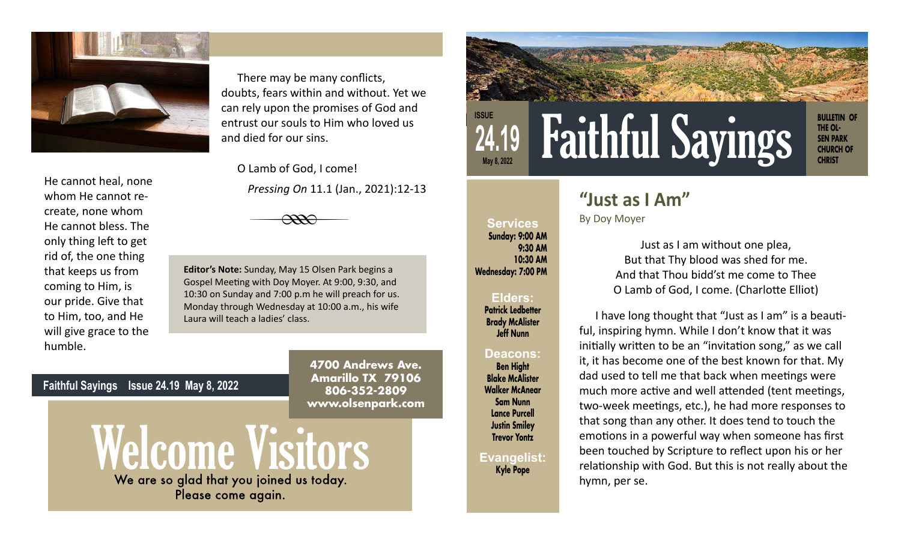

He cannot heal, none whom He cannot recreate, none whom He cannot bless. The only thing left to get rid of, the one thing that keeps us from coming to Him, is our pride. Give that to Him, too, and He will give grace to the humble.

There may be many conflicts, doubts, fears within and without. Yet we can rely upon the promises of God and entrust our souls to Him who loved us and died for our sins.

O Lamb of God, I come! *Pressing On* 11.1 (Jan., 2021):12-13



**Editor's Note:** Sunday, May 15 Olsen Park begins a Gospel Meeting with Doy Moyer. At 9:00, 9:30, and 10:30 on Sunday and 7:00 p.m he will preach for us. Monday through Wednesday at 10:00 a.m., his wife Laura will teach a ladies' class.

> **4700 Andrews Ave. Amarillo TX 79106 806-352-2809 www.olsenpark.com**

## **BULLETIN OF THE OL-SEN PARK CHURCH OF CHRIST ISSUE 24.19 May 8, 2022** Faithful Sayings

## **"Just as I Am"**

By Doy Moyer

**Services Sunday: 9:00 AM**

**Wednesday: 7:00 PM**

**Elders: Patrick Ledbetter Brady McAlister Jeff Nunn** 

**Deacons: Ben Hight Blake McAlister Walker McAnear Sam Nunn Lance Purcell Justin Smiley Trevor Yontz**

**Evangelist: Kyle Pope**

**9:30 AM 10:30 AM**

Just as I am without one plea, But that Thy blood was shed for me. And that Thou bidd'st me come to Thee O Lamb of God, I come. (Charlotte Elliot)

I have long thought that "Just as I am" is a beautiful, inspiring hymn. While I don't know that it was initially written to be an "invitation song," as we call it, it has become one of the best known for that. My dad used to tell me that back when meetings were much more active and well attended (tent meetings, two-week meetings, etc.), he had more responses to that song than any other. It does tend to touch the emotions in a powerful way when someone has first been touched by Scripture to reflect upon his or her relationship with God. But this is not really about the hymn, per se.

## **Faithful Sayings Issue 24.19 May 8, 2022**

Welcome Visitors

Please come again.